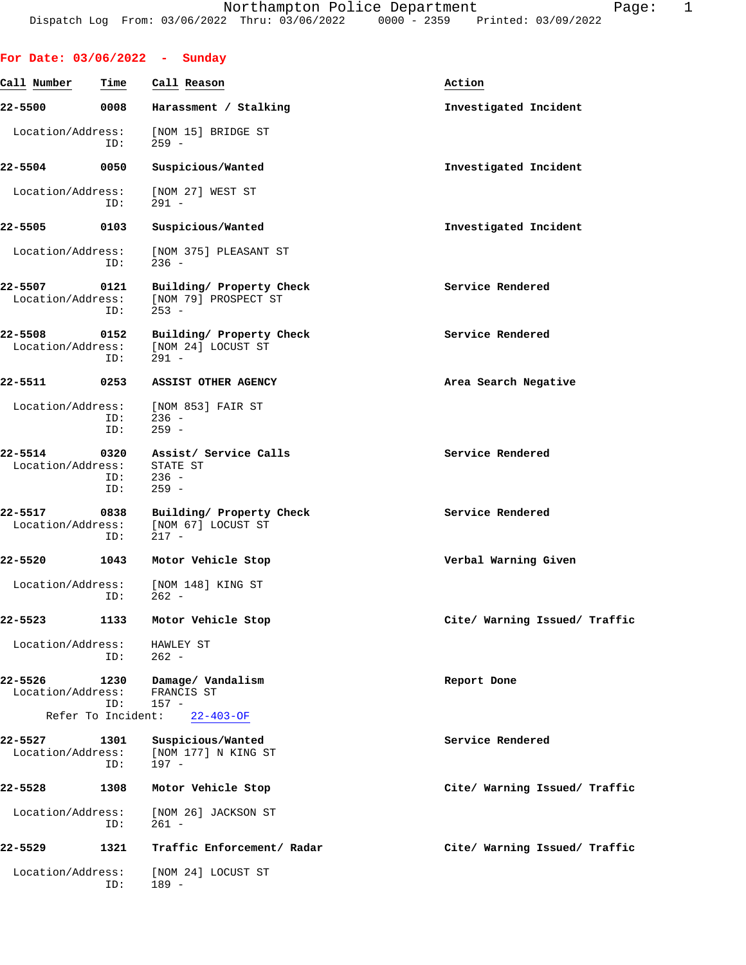| For Date: $03/06/2022 - Sunday$   |                    |                                                              |                               |  |  |  |  |
|-----------------------------------|--------------------|--------------------------------------------------------------|-------------------------------|--|--|--|--|
| Call Number                       | Time               | Call Reason                                                  | Action                        |  |  |  |  |
| 22-5500                           |                    | 0008 Harassment / Stalking                                   | Investigated Incident         |  |  |  |  |
| Location/Address:                 | ID:                | [NOM 15] BRIDGE ST<br>259 -                                  |                               |  |  |  |  |
| 22-5504                           | 0050               | Suspicious/Wanted                                            | Investigated Incident         |  |  |  |  |
| Location/Address:                 | ID:                | [NOM 27] WEST ST<br>$291 -$                                  |                               |  |  |  |  |
| 22-5505 0103                      |                    | Suspicious/Wanted                                            | Investigated Incident         |  |  |  |  |
| Location/Address:                 | ID:                | [NOM 375] PLEASANT ST<br>$236 -$                             |                               |  |  |  |  |
| 22-5507<br>Location/Address:      | 0121<br>ID:        | Building/ Property Check<br>[NOM 79] PROSPECT ST<br>$253 -$  | Service Rendered              |  |  |  |  |
| 22-5508<br>Location/Address:      | 0152<br>ID:        | Building/ Property Check<br>[NOM 24] LOCUST ST<br>$291 -$    | Service Rendered              |  |  |  |  |
| 22-5511                           | 0253               | <b>ASSIST OTHER AGENCY</b>                                   | Area Search Negative          |  |  |  |  |
| Location/Address:                 | ID:<br>ID:         | [NOM 853] FAIR ST<br>236 -<br>$259 -$                        |                               |  |  |  |  |
| 22-5514<br>Location/Address:      | ID:<br>ID:         | 0320 Assist/ Service Calls<br>STATE ST<br>$236 -$<br>$259 -$ | Service Rendered              |  |  |  |  |
| 22-5517 0838<br>Location/Address: | ID:                | Building/ Property Check<br>[NOM 67] LOCUST ST<br>217 -      | Service Rendered              |  |  |  |  |
| 22-5520                           | 1043               | Motor Vehicle Stop                                           | Verbal Warning Given          |  |  |  |  |
| Location/Address:                 | ID:                | [NOM 148] KING ST<br>$262 -$                                 |                               |  |  |  |  |
| 22-5523                           | 1133               | Motor Vehicle Stop                                           | Cite/ Warning Issued/ Traffic |  |  |  |  |
| Location/Address:                 | ID:                | HAWLEY ST<br>$262 -$                                         |                               |  |  |  |  |
| 22-5526<br>Location/Address:      | 1230<br>ID:        | Damage/ Vandalism<br>FRANCIS ST<br>$157 -$                   | Report Done                   |  |  |  |  |
|                                   | Refer To Incident: | 22-403-OF                                                    |                               |  |  |  |  |
| 22-5527<br>Location/Address:      | 1301<br>ID:        | Suspicious/Wanted<br>[NOM 177] N KING ST<br>197 -            | Service Rendered              |  |  |  |  |
| 22-5528                           | 1308               | Motor Vehicle Stop                                           | Cite/ Warning Issued/ Traffic |  |  |  |  |
| Location/Address:                 | ID:                | [NOM 26] JACKSON ST<br>261 -                                 |                               |  |  |  |  |
| 22-5529                           | 1321               | Traffic Enforcement/ Radar                                   | Cite/ Warning Issued/ Traffic |  |  |  |  |
| Location/Address:                 | ID:                | [NOM 24] LOCUST ST<br>189 -                                  |                               |  |  |  |  |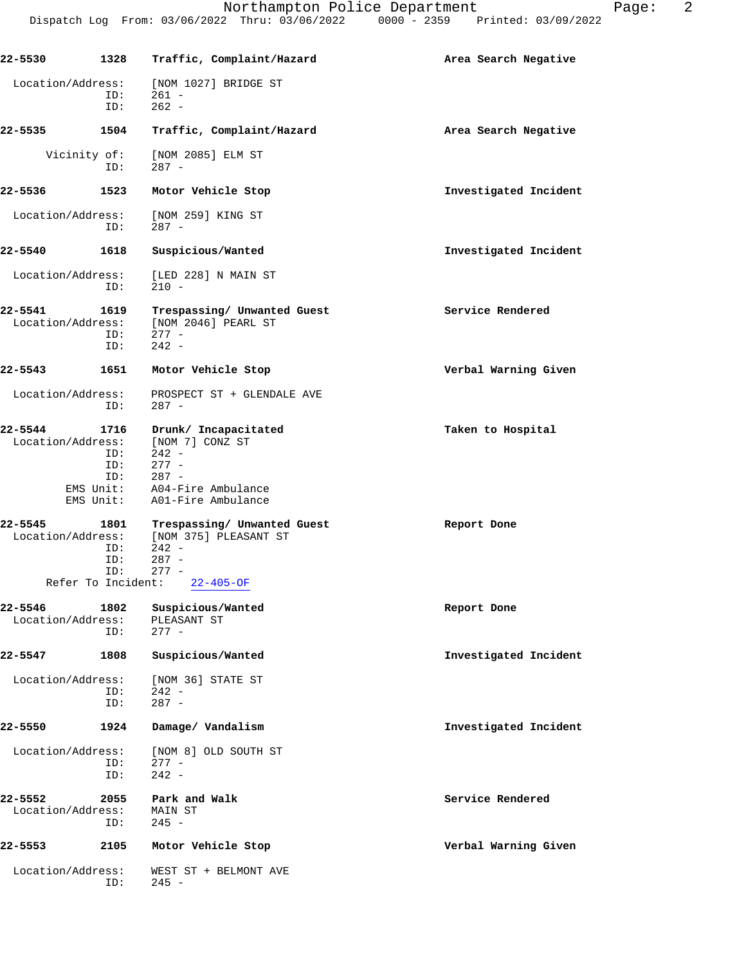| 22-5530                      | 1328                                            | Traffic, Complaint/Hazard                                                                                                              | Area Search Negative  |
|------------------------------|-------------------------------------------------|----------------------------------------------------------------------------------------------------------------------------------------|-----------------------|
| Location/Address:            | ID:<br>ID:                                      | [NOM 1027] BRIDGE ST<br>$261 -$<br>$262 -$                                                                                             |                       |
| 22-5535                      | 1504                                            | Traffic, Complaint/Hazard                                                                                                              | Area Search Negative  |
|                              | Vicinity of:<br>ID:                             | [NOM 2085] ELM ST<br>$287 -$                                                                                                           |                       |
| 22-5536                      | 1523                                            | Motor Vehicle Stop                                                                                                                     | Investigated Incident |
| Location/Address:            | ID:                                             | [NOM 259] KING ST<br>$287 -$                                                                                                           |                       |
| 22-5540                      | 1618                                            | Suspicious/Wanted                                                                                                                      | Investigated Incident |
| Location/Address:            | ID:                                             | [LED 228] N MAIN ST<br>$210 -$                                                                                                         |                       |
| 22-5541<br>Location/Address: | 1619<br>ID:<br>ID:                              | Trespassing/ Unwanted Guest<br>[NOM 2046] PEARL ST<br>$277 -$<br>$242 -$                                                               | Service Rendered      |
| 22–5543                      | 1651                                            | Motor Vehicle Stop                                                                                                                     | Verbal Warning Given  |
| Location/Address:            | ID:                                             | PROSPECT ST + GLENDALE AVE<br>$287 -$                                                                                                  |                       |
| 22-5544<br>Location/Address: | 1716<br>ID:<br>ID:<br>ID:                       | Drunk/ Incapacitated<br>[NOM 7] CONZ ST<br>$242 -$<br>$277 -$<br>287 -<br>EMS Unit: A04-Fire Ambulance<br>EMS Unit: A01-Fire Ambulance | Taken to Hospital     |
| 22-5545                      | 1801<br>ID:<br>ID:<br>ID:<br>Refer To Incident: | Trespassing/ Unwanted Guest<br>Location/Address: [NOM 375] PLEASANT ST<br>$242 -$<br>$287 -$<br>$277 -$<br>$22 - 405 - OF$             | Report Done           |
| 22-5546<br>Location/Address: | 1802<br>ID:                                     | Suspicious/Wanted<br>PLEASANT ST<br>$277 -$                                                                                            | Report Done           |
| 22-5547                      | 1808                                            | Suspicious/Wanted                                                                                                                      | Investigated Incident |
| Location/Address:            | ID:<br>ID:                                      | [NOM 36] STATE ST<br>$242 -$<br>$287 -$                                                                                                |                       |
| 22-5550                      | 1924                                            | Damage/ Vandalism                                                                                                                      | Investigated Incident |
| Location/Address:            | ID:<br>ID:                                      | [NOM 8] OLD SOUTH ST<br>$277 -$<br>$242 -$                                                                                             |                       |
| 22-5552<br>Location/Address: | 2055<br>ID:                                     | Park and Walk<br>MAIN ST<br>$245 -$                                                                                                    | Service Rendered      |
| 22–5553                      | 2105                                            | Motor Vehicle Stop                                                                                                                     | Verbal Warning Given  |
| Location/Address:            | ID:                                             | WEST ST + BELMONT AVE<br>$245 -$                                                                                                       |                       |